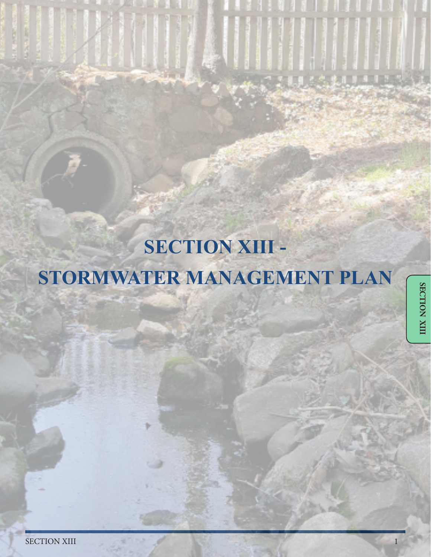# **SECTION XIII -STORMWATER MANAGEMENT PLAN**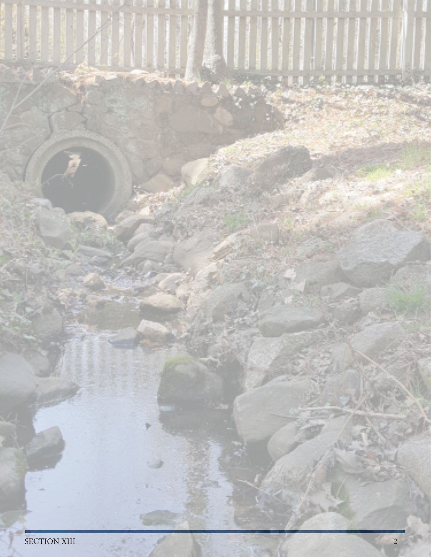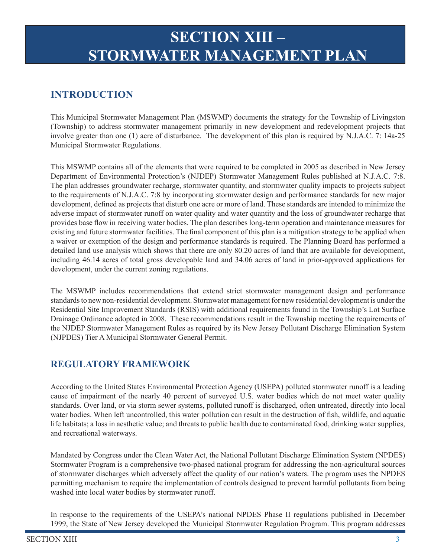# **SECTION XIII – STORMWATER MANAGEMENT PLAN**

# **INTRODUCTION**

This Municipal Stormwater Management Plan (MSWMP) documents the strategy for the Township of Livingston (Township) to address stormwater management primarily in new development and redevelopment projects that involve greater than one (1) acre of disturbance. The development of this plan is required by N.J.A.C. 7: 14a-25 Municipal Stormwater Regulations.

This MSWMP contains all of the elements that were required to be completed in 2005 as described in New Jersey Department of Environmental Protection's (NJDEP) Stormwater Management Rules published at N.J.A.C. 7:8. The plan addresses groundwater recharge, stormwater quantity, and stormwater quality impacts to projects subject to the requirements of N.J.A.C. 7:8 by incorporating stormwater design and performance standards for new major development, defined as projects that disturb one acre or more of land. These standards are intended to minimize the adverse impact of stormwater runoff on water quality and water quantity and the loss of groundwater recharge that provides base flow in receiving water bodies. The plan describes long-term operation and maintenance measures for existing and future stormwater facilities. The final component of this plan is a mitigation strategy to be applied when a waiver or exemption of the design and performance standards is required. The Planning Board has performed a detailed land use analysis which shows that there are only 80.20 acres of land that are available for development, including 46.14 acres of total gross developable land and 34.06 acres of land in prior-approved applications for development, under the current zoning regulations.

The MSWMP includes recommendations that extend strict stormwater management design and performance standards to new non-residential development. Stormwater management for new residential development is under the Residential Site Improvement Standards (RSIS) with additional requirements found in the Township's Lot Surface Drainage Ordinance adopted in 2008. These recommendations result in the Township meeting the requirements of the NJDEP Stormwater Management Rules as required by its New Jersey Pollutant Discharge Elimination System (NJPDES) Tier A Municipal Stormwater General Permit.

### **REGULATORY FRAMEWORK**

According to the United States Environmental Protection Agency (USEPA) polluted stormwater runoff is a leading cause of impairment of the nearly 40 percent of surveyed U.S. water bodies which do not meet water quality standards. Over land, or via storm sewer systems, polluted runoff is discharged, often untreated, directly into local water bodies. When left uncontrolled, this water pollution can result in the destruction of fish, wildlife, and aquatic life habitats; a loss in aesthetic value; and threats to public health due to contaminated food, drinking water supplies, and recreational waterways.

Mandated by Congress under the Clean Water Act, the National Pollutant Discharge Elimination System (NPDES) Stormwater Program is a comprehensive two-phased national program for addressing the non-agricultural sources of stormwater discharges which adversely affect the quality of our nation's waters. The program uses the NPDES permitting mechanism to require the implementation of controls designed to prevent harmful pollutants from being washed into local water bodies by stormwater runoff.

In response to the requirements of the USEPA's national NPDES Phase II regulations published in December 1999, the State of New Jersey developed the Municipal Stormwater Regulation Program. This program addresses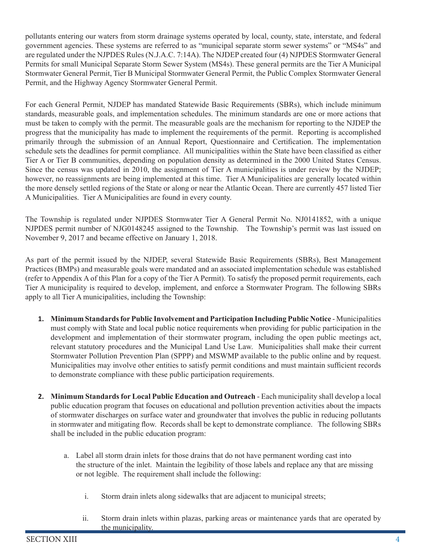pollutants entering our waters from storm drainage systems operated by local, county, state, interstate, and federal government agencies. These systems are referred to as "municipal separate storm sewer systems" or "MS4s" and are regulated under the NJPDES Rules (N.J.A.C. 7:14A). The NJDEP created four (4) NJPDES Stormwater General Permits for small Municipal Separate Storm Sewer System (MS4s). These general permits are the Tier A Municipal Stormwater General Permit, Tier B Municipal Stormwater General Permit, the Public Complex Stormwater General Permit, and the Highway Agency Stormwater General Permit.

For each General Permit, NJDEP has mandated Statewide Basic Requirements (SBRs), which include minimum standards, measurable goals, and implementation schedules. The minimum standards are one or more actions that must be taken to comply with the permit. The measurable goals are the mechanism for reporting to the NJDEP the progress that the municipality has made to implement the requirements of the permit. Reporting is accomplished primarily through the submission of an Annual Report, Questionnaire and Certification. The implementation schedule sets the deadlines for permit compliance. All municipalities within the State have been classified as either Tier A or Tier B communities, depending on population density as determined in the 2000 United States Census. Since the census was updated in 2010, the assignment of Tier A municipalities is under review by the NJDEP; however, no reassignments are being implemented at this time. Tier A Municipalities are generally located within the more densely settled regions of the State or along or near the Atlantic Ocean. There are currently 457 listed Tier A Municipalities. Tier A Municipalities are found in every county.

The Township is regulated under NJPDES Stormwater Tier A General Permit No. NJ0141852, with a unique NJPDES permit number of NJG0148245 assigned to the Township. The Township's permit was last issued on November 9, 2017 and became effective on January 1, 2018.

As part of the permit issued by the NJDEP, several Statewide Basic Requirements (SBRs), Best Management Practices (BMPs) and measurable goals were mandated and an associated implementation schedule was established (refer to Appendix A of this Plan for a copy of the Tier A Permit). To satisfy the proposed permit requirements, each Tier A municipality is required to develop, implement, and enforce a Stormwater Program. The following SBRs apply to all Tier A municipalities, including the Township:

- **1. Minimum Standards for Public Involvement and Participation Including Public Notice**  Municipalities must comply with State and local public notice requirements when providing for public participation in the development and implementation of their stormwater program, including the open public meetings act, relevant statutory procedures and the Municipal Land Use Law. Municipalities shall make their current Stormwater Pollution Prevention Plan (SPPP) and MSWMP available to the public online and by request. Municipalities may involve other entities to satisfy permit conditions and must maintain sufficient records to demonstrate compliance with these public participation requirements.
- **2. Minimum Standards for Local Public Education and Outreach Each municipality shall develop a local** public education program that focuses on educational and pollution prevention activities about the impacts of stormwater discharges on surface water and groundwater that involves the public in reducing pollutants in stormwater and mitigating flow. Records shall be kept to demonstrate compliance. The following SBRs shall be included in the public education program:
	- a. Label all storm drain inlets for those drains that do not have permanent wording cast into the structure of the inlet. Maintain the legibility of those labels and replace any that are missing or not legible. The requirement shall include the following:
		- i. Storm drain inlets along sidewalks that are adjacent to municipal streets;
		- ii. Storm drain inlets within plazas, parking areas or maintenance yards that are operated by the municipality.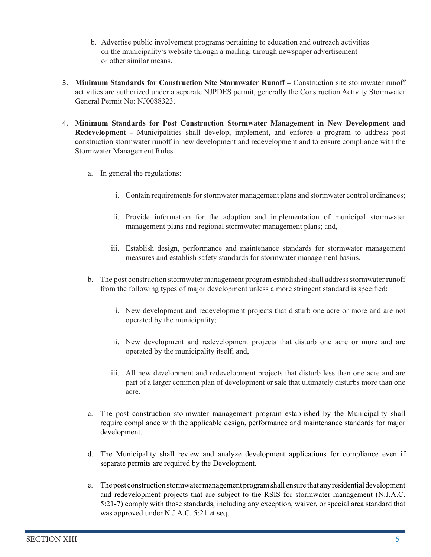- b. Advertise public involvement programs pertaining to education and outreach activities on the municipality's website through a mailing, through newspaper advertisement or other similar means.
- 3. **Minimum Standards for Construction Site Stormwater Runoff** Construction site stormwater runoff activities are authorized under a separate NJPDES permit, generally the Construction Activity Stormwater General Permit No: NJ0088323.
- 4. **Minimum Standards for Post Construction Stormwater Management in New Development and Redevelopment -** Municipalities shall develop, implement, and enforce a program to address post construction stormwater runoff in new development and redevelopment and to ensure compliance with the Stormwater Management Rules.
	- a. In general the regulations:
		- i. Contain requirements for stormwater management plans and stormwater control ordinances;
		- ii. Provide information for the adoption and implementation of municipal stormwater management plans and regional stormwater management plans; and,
		- iii. Establish design, performance and maintenance standards for stormwater management measures and establish safety standards for stormwater management basins.
	- b. The post construction stormwater management program established shall address stormwater runoff from the following types of major development unless a more stringent standard is specified:
		- i. New development and redevelopment projects that disturb one acre or more and are not operated by the municipality;
		- ii. New development and redevelopment projects that disturb one acre or more and are operated by the municipality itself; and,
		- iii. All new development and redevelopment projects that disturb less than one acre and are part of a larger common plan of development or sale that ultimately disturbs more than one acre.
	- c. The post construction stormwater management program established by the Municipality shall require compliance with the applicable design, performance and maintenance standards for major development.
	- d. The Municipality shall review and analyze development applications for compliance even if separate permits are required by the Development.
	- e. The post construction stormwater management program shall ensure that any residential development and redevelopment projects that are subject to the RSIS for stormwater management (N.J.A.C. 5:21-7) comply with those standards, including any exception, waiver, or special area standard that was approved under N.J.A.C. 5:21 et seq.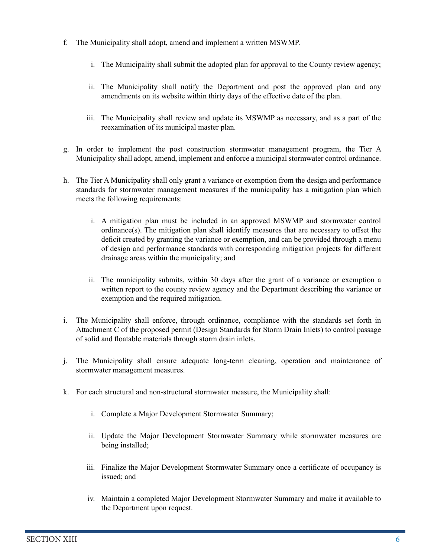- f. The Municipality shall adopt, amend and implement a written MSWMP.
	- i. The Municipality shall submit the adopted plan for approval to the County review agency;
	- ii. The Municipality shall notify the Department and post the approved plan and any amendments on its website within thirty days of the effective date of the plan.
	- iii. The Municipality shall review and update its MSWMP as necessary, and as a part of the reexamination of its municipal master plan.
- g. In order to implement the post construction stormwater management program, the Tier A Municipality shall adopt, amend, implement and enforce a municipal stormwater control ordinance.
- h. The Tier A Municipality shall only grant a variance or exemption from the design and performance standards for stormwater management measures if the municipality has a mitigation plan which meets the following requirements:
	- i. A mitigation plan must be included in an approved MSWMP and stormwater control ordinance(s). The mitigation plan shall identify measures that are necessary to offset the deficit created by granting the variance or exemption, and can be provided through a menu of design and performance standards with corresponding mitigation projects for different drainage areas within the municipality; and
	- ii. The municipality submits, within 30 days after the grant of a variance or exemption a written report to the county review agency and the Department describing the variance or exemption and the required mitigation.
- i. The Municipality shall enforce, through ordinance, compliance with the standards set forth in Attachment C of the proposed permit (Design Standards for Storm Drain Inlets) to control passage of solid and floatable materials through storm drain inlets.
- j. The Municipality shall ensure adequate long-term cleaning, operation and maintenance of stormwater management measures.
- k. For each structural and non-structural stormwater measure, the Municipality shall:
	- i. Complete a Major Development Stormwater Summary;
	- ii. Update the Major Development Stormwater Summary while stormwater measures are being installed;
	- iii. Finalize the Major Development Stormwater Summary once a certificate of occupancy is issued; and
	- iv. Maintain a completed Major Development Stormwater Summary and make it available to the Department upon request.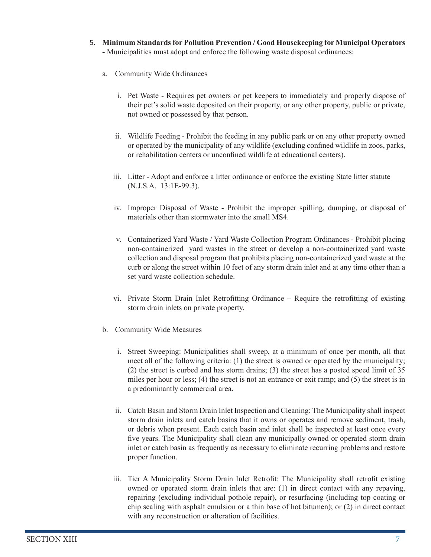- 5. **Minimum Standards for Pollution Prevention / Good Housekeeping for Municipal Operators -** Municipalities must adopt and enforce the following waste disposal ordinances:
	- a. Community Wide Ordinances
		- i. Pet Waste Requires pet owners or pet keepers to immediately and properly dispose of their pet's solid waste deposited on their property, or any other property, public or private, not owned or possessed by that person.
		- ii. Wildlife Feeding Prohibit the feeding in any public park or on any other property owned or operated by the municipality of any wildlife (excluding confined wildlife in zoos, parks, or rehabilitation centers or unconfined wildlife at educational centers).
		- iii. Litter Adopt and enforce a litter ordinance or enforce the existing State litter statute (N.J.S.A. 13:1E-99.3).
		- iv. Improper Disposal of Waste Prohibit the improper spilling, dumping, or disposal of materials other than stormwater into the small MS4.
		- v. Containerized Yard Waste / Yard Waste Collection Program Ordinances Prohibit placing non-containerized yard wastes in the street or develop a non-containerized yard waste collection and disposal program that prohibits placing non-containerized yard waste at the curb or along the street within 10 feet of any storm drain inlet and at any time other than a set yard waste collection schedule.
		- vi. Private Storm Drain Inlet Retrofitting Ordinance Require the retrofitting of existing storm drain inlets on private property.
	- b. Community Wide Measures
		- i. Street Sweeping: Municipalities shall sweep, at a minimum of once per month, all that meet all of the following criteria: (1) the street is owned or operated by the municipality; (2) the street is curbed and has storm drains; (3) the street has a posted speed limit of 35 miles per hour or less; (4) the street is not an entrance or exit ramp; and (5) the street is in a predominantly commercial area.
		- ii. Catch Basin and Storm Drain Inlet Inspection and Cleaning: The Municipality shall inspect storm drain inlets and catch basins that it owns or operates and remove sediment, trash, or debris when present. Each catch basin and inlet shall be inspected at least once every five years. The Municipality shall clean any municipally owned or operated storm drain inlet or catch basin as frequently as necessary to eliminate recurring problems and restore proper function.
		- iii. Tier A Municipality Storm Drain Inlet Retrofit: The Municipality shall retrofit existing owned or operated storm drain inlets that are: (1) in direct contact with any repaving, repairing (excluding individual pothole repair), or resurfacing (including top coating or chip sealing with asphalt emulsion or a thin base of hot bitumen); or (2) in direct contact with any reconstruction or alteration of facilities.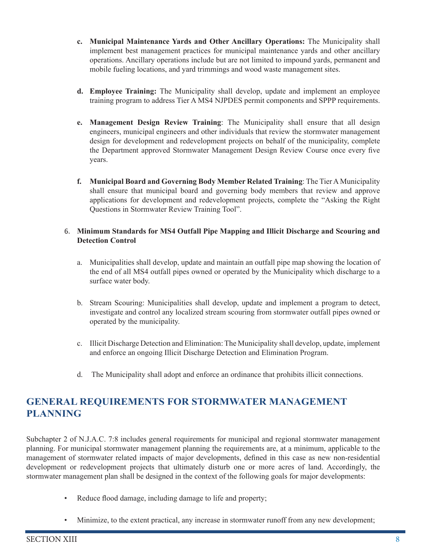- **c. Municipal Maintenance Yards and Other Ancillary Operations:** The Municipality shall implement best management practices for municipal maintenance yards and other ancillary operations. Ancillary operations include but are not limited to impound yards, permanent and mobile fueling locations, and yard trimmings and wood waste management sites.
- **d. Employee Training:** The Municipality shall develop, update and implement an employee training program to address Tier A MS4 NJPDES permit components and SPPP requirements.
- **e. Management Design Review Training**: The Municipality shall ensure that all design engineers, municipal engineers and other individuals that review the stormwater management design for development and redevelopment projects on behalf of the municipality, complete the Department approved Stormwater Management Design Review Course once every five years.
- **f. Municipal Board and Governing Body Member Related Training**: The Tier A Municipality shall ensure that municipal board and governing body members that review and approve applications for development and redevelopment projects, complete the "Asking the Right Questions in Stormwater Review Training Tool".

#### 6. **Minimum Standards for MS4 Outfall Pipe Mapping and Illicit Discharge and Scouring and Detection Control**

- a. Municipalities shall develop, update and maintain an outfall pipe map showing the location of the end of all MS4 outfall pipes owned or operated by the Municipality which discharge to a surface water body.
- b. Stream Scouring: Municipalities shall develop, update and implement a program to detect, investigate and control any localized stream scouring from stormwater outfall pipes owned or operated by the municipality.
- c. Illicit Discharge Detection and Elimination: The Municipality shall develop, update, implement and enforce an ongoing Illicit Discharge Detection and Elimination Program.
- d. The Municipality shall adopt and enforce an ordinance that prohibits illicit connections.

## **GENERAL REQUIREMENTS FOR STORMWATER MANAGEMENT PLANNING**

Subchapter 2 of N.J.A.C. 7:8 includes general requirements for municipal and regional stormwater management planning. For municipal stormwater management planning the requirements are, at a minimum, applicable to the management of stormwater related impacts of major developments, defined in this case as new non-residential development or redevelopment projects that ultimately disturb one or more acres of land. Accordingly, the stormwater management plan shall be designed in the context of the following goals for major developments:

- Reduce flood damage, including damage to life and property;
- Minimize, to the extent practical, any increase in stormwater runoff from any new development;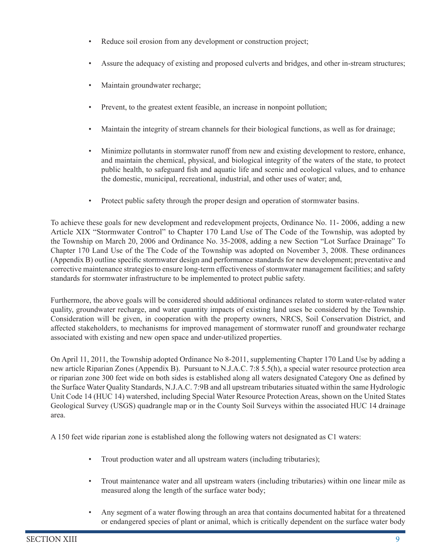- Reduce soil erosion from any development or construction project;
- Assure the adequacy of existing and proposed culverts and bridges, and other in-stream structures;
- Maintain groundwater recharge;
- Prevent, to the greatest extent feasible, an increase in nonpoint pollution;
- Maintain the integrity of stream channels for their biological functions, as well as for drainage;
- Minimize pollutants in stormwater runoff from new and existing development to restore, enhance, and maintain the chemical, physical, and biological integrity of the waters of the state, to protect public health, to safeguard fish and aquatic life and scenic and ecological values, and to enhance the domestic, municipal, recreational, industrial, and other uses of water; and,
- Protect public safety through the proper design and operation of stormwater basins.

To achieve these goals for new development and redevelopment projects, Ordinance No. 11- 2006, adding a new Article XIX "Stormwater Control" to Chapter 170 Land Use of The Code of the Township, was adopted by the Township on March 20, 2006 and Ordinance No. 35-2008, adding a new Section "Lot Surface Drainage" To Chapter 170 Land Use of the The Code of the Township was adopted on November 3, 2008. These ordinances (Appendix B) outline specific stormwater design and performance standards for new development; preventative and corrective maintenance strategies to ensure long-term effectiveness of stormwater management facilities; and safety standards for stormwater infrastructure to be implemented to protect public safety.

Furthermore, the above goals will be considered should additional ordinances related to storm water-related water quality, groundwater recharge, and water quantity impacts of existing land uses be considered by the Township. Consideration will be given, in cooperation with the property owners, NRCS, Soil Conservation District, and affected stakeholders, to mechanisms for improved management of stormwater runoff and groundwater recharge associated with existing and new open space and under-utilized properties.

On April 11, 2011, the Township adopted Ordinance No 8-2011, supplementing Chapter 170 Land Use by adding a new article Riparian Zones (Appendix B). Pursuant to N.J.A.C. 7:8 5.5(h), a special water resource protection area or riparian zone 300 feet wide on both sides is established along all waters designated Category One as defined by the Surface Water Quality Standards, N.J.A.C. 7:9B and all upstream tributaries situated within the same Hydrologic Unit Code 14 (HUC 14) watershed, including Special Water Resource Protection Areas, shown on the United States Geological Survey (USGS) quadrangle map or in the County Soil Surveys within the associated HUC 14 drainage area.

A 150 feet wide riparian zone is established along the following waters not designated as C1 waters:

- Trout production water and all upstream waters (including tributaries);
- Trout maintenance water and all upstream waters (including tributaries) within one linear mile as measured along the length of the surface water body;
- Any segment of a water flowing through an area that contains documented habitat for a threatened or endangered species of plant or animal, which is critically dependent on the surface water body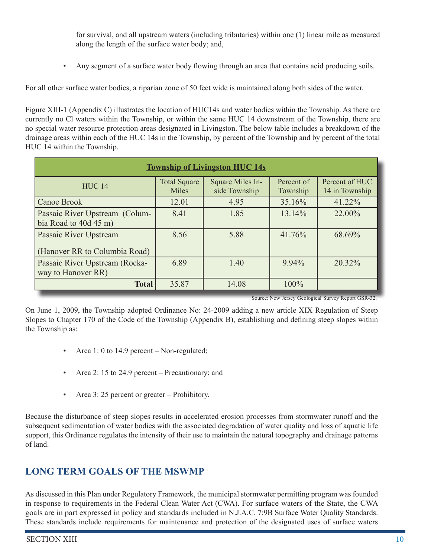for survival, and all upstream waters (including tributaries) within one (1) linear mile as measured along the length of the surface water body; and,

• Any segment of a surface water body flowing through an area that contains acid producing soils.

For all other surface water bodies, a riparian zone of 50 feet wide is maintained along both sides of the water.

Figure XIII-1 (Appendix C) illustrates the location of HUC14s and water bodies within the Township. As there are currently no Cl waters within the Township, or within the same HUC 14 downstream of the Township, there are no special water resource protection areas designated in Livingston. The below table includes a breakdown of the drainage areas within each of the HUC 14s in the Township, by percent of the Township and by percent of the total HUC 14 within the Township.

| <b>Township of Livingston HUC 14s</b>                   |                                     |                                   |                        |                                  |
|---------------------------------------------------------|-------------------------------------|-----------------------------------|------------------------|----------------------------------|
| <b>HUC 14</b>                                           | <b>Total Square</b><br><b>Miles</b> | Square Miles In-<br>side Township | Percent of<br>Township | Percent of HUC<br>14 in Township |
| Canoe Brook                                             | 12.01                               | 4.95                              | 35.16%                 | 41.22%                           |
| Passaic River Upstream (Colum-<br>bia Road to 40d 45 m) | 8.41                                | 1.85                              | 13.14%                 | 22.00%                           |
| Passaic River Upstream<br>(Hanover RR to Columbia Road) | 8.56                                | 5.88                              | 41.76%                 | 68.69%                           |
| Passaic River Upstream (Rocka-<br>way to Hanover RR)    | 6.89                                | 1.40                              | 9.94%                  | 20.32%                           |
| <b>Total</b>                                            | 35.87                               | 14.08                             | $100\%$                |                                  |

Source: New Jersey Geological Survey Report GSR-32.

On June 1, 2009, the Township adopted Ordinance No: 24-2009 adding a new article XIX Regulation of Steep Slopes to Chapter 170 of the Code of the Township (Appendix B), establishing and defining steep slopes within the Township as:

- Area 1: 0 to 14.9 percent Non-regulated;
- Area 2: 15 to 24.9 percent Precautionary; and
- Area 3: 25 percent or greater Prohibitory.

Because the disturbance of steep slopes results in accelerated erosion processes from stormwater runoff and the subsequent sedimentation of water bodies with the associated degradation of water quality and loss of aquatic life support, this Ordinance regulates the intensity of their use to maintain the natural topography and drainage patterns of land.

# **LONG TERM GOALS OF THE MSWMP**

As discussed in this Plan under Regulatory Framework, the municipal stormwater permitting program was founded in response to requirements in the Federal Clean Water Act (CWA). For surface waters of the State, the CWA goals are in part expressed in policy and standards included in N.J.A.C. 7:9B Surface Water Quality Standards. These standards include requirements for maintenance and protection of the designated uses of surface waters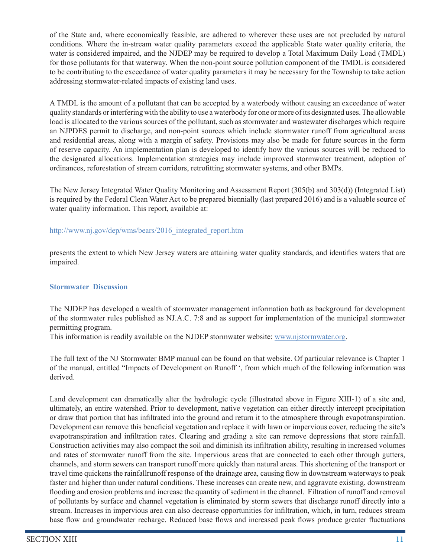of the State and, where economically feasible, are adhered to wherever these uses are not precluded by natural conditions. Where the in-stream water quality parameters exceed the applicable State water quality criteria, the water is considered impaired, and the NJDEP may be required to develop a Total Maximum Daily Load (TMDL) for those pollutants for that waterway. When the non-point source pollution component of the TMDL is considered to be contributing to the exceedance of water quality parameters it may be necessary for the Township to take action addressing stormwater-related impacts of existing land uses.

A TMDL is the amount of a pollutant that can be accepted by a waterbody without causing an exceedance of water quality standards or interfering with the ability to use a waterbody for one or more of its designated uses. The allowable load is allocated to the various sources of the pollutant, such as stormwater and wastewater discharges which require an NJPDES permit to discharge, and non-point sources which include stormwater runoff from agricultural areas and residential areas, along with a margin of safety. Provisions may also be made for future sources in the form of reserve capacity. An implementation plan is developed to identify how the various sources will be reduced to the designated allocations. Implementation strategies may include improved stormwater treatment, adoption of ordinances, reforestation of stream corridors, retrofitting stormwater systems, and other BMPs.

The New Jersey Integrated Water Quality Monitoring and Assessment Report (305(b) and 303(d)) (Integrated List) is required by the Federal Clean Water Act to be prepared biennially (last prepared 2016) and is a valuable source of water quality information. This report, available at:

#### http://www.nj.gov/dep/wms/bears/2016\_integrated\_report.htm

presents the extent to which New Jersey waters are attaining water quality standards, and identifies waters that are impaired.

#### **Stormwater Discussion**

The NJDEP has developed a wealth of stormwater management information both as background for development of the stormwater rules published as NJ.A.C. 7:8 and as support for implementation of the municipal stormwater permitting program.

This information is readily available on the NJDEP stormwater website: www.njstormwater.org.

The full text of the NJ Stormwater BMP manual can be found on that website. Of particular relevance is Chapter 1 of the manual, entitled "Impacts of Development on Runoff ', from which much of the following information was derived.

Land development can dramatically alter the hydrologic cycle (illustrated above in Figure XIII-1) of a site and, ultimately, an entire watershed. Prior to development, native vegetation can either directly intercept precipitation or draw that portion that has infiltrated into the ground and return it to the atmosphere through evapotranspiration. Development can remove this beneficial vegetation and replace it with lawn or impervious cover, reducing the site's evapotranspiration and infiltration rates. Clearing and grading a site can remove depressions that store rainfall. Construction activities may also compact the soil and diminish its infiltration ability, resulting in increased volumes and rates of stormwater runoff from the site. Impervious areas that are connected to each other through gutters, channels, and storm sewers can transport runoff more quickly than natural areas. This shortening of the transport or travel time quickens the rainfallrunoff response of the drainage area, causing flow in downstream waterways to peak faster and higher than under natural conditions. These increases can create new, and aggravate existing, downstream flooding and erosion problems and increase the quantity of sediment in the channel. Filtration of runoff and removal of pollutants by surface and channel vegetation is eliminated by storm sewers that discharge runoff directly into a stream. Increases in impervious area can also decrease opportunities for infiltration, which, in turn, reduces stream base flow and groundwater recharge. Reduced base flows and increased peak flows produce greater fluctuations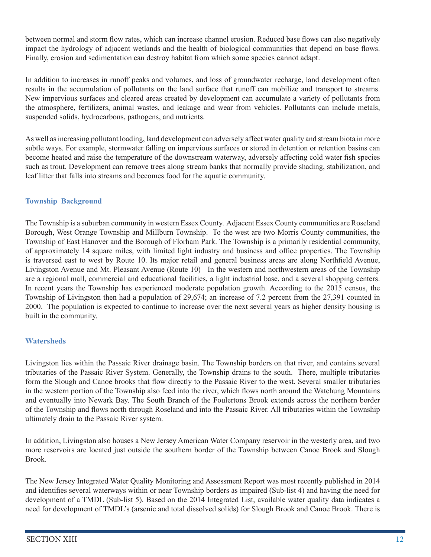between normal and storm flow rates, which can increase channel erosion. Reduced base flows can also negatively impact the hydrology of adjacent wetlands and the health of biological communities that depend on base flows. Finally, erosion and sedimentation can destroy habitat from which some species cannot adapt.

In addition to increases in runoff peaks and volumes, and loss of groundwater recharge, land development often results in the accumulation of pollutants on the land surface that runoff can mobilize and transport to streams. New impervious surfaces and cleared areas created by development can accumulate a variety of pollutants from the atmosphere, fertilizers, animal wastes, and leakage and wear from vehicles. Pollutants can include metals, suspended solids, hydrocarbons, pathogens, and nutrients.

As well as increasing pollutant loading, land development can adversely affect water quality and stream biota in more subtle ways. For example, stormwater falling on impervious surfaces or stored in detention or retention basins can become heated and raise the temperature of the downstream waterway, adversely affecting cold water fish species such as trout. Development can remove trees along stream banks that normally provide shading, stabilization, and leaf litter that falls into streams and becomes food for the aquatic community.

#### **Township Background**

The Township is a suburban community in western Essex County. Adjacent Essex County communities are Roseland Borough, West Orange Township and Millburn Township. To the west are two Morris County communities, the Township of East Hanover and the Borough of Florham Park. The Township is a primarily residential community, of approximately 14 square miles, with limited light industry and business and office properties. The Township is traversed east to west by Route 10. Its major retail and general business areas are along Northfield Avenue, Livingston Avenue and Mt. Pleasant Avenue (Route 10) In the western and northwestern areas of the Township are a regional mall, commercial and educational facilities, a light industrial base, and a several shopping centers. In recent years the Township has experienced moderate population growth. According to the 2015 census, the Township of Livingston then had a population of 29,674; an increase of 7.2 percent from the 27,391 counted in 2000. The population is expected to continue to increase over the next several years as higher density housing is built in the community.

#### **Watersheds**

Livingston lies within the Passaic River drainage basin. The Township borders on that river, and contains several tributaries of the Passaic River System. Generally, the Township drains to the south. There, multiple tributaries form the Slough and Canoe brooks that flow directly to the Passaic River to the west. Several smaller tributaries in the western portion of the Township also feed into the river, which flows north around the Watchung Mountains and eventually into Newark Bay. The South Branch of the Foulertons Brook extends across the northern border of the Township and flows north through Roseland and into the Passaic River. All tributaries within the Township ultimately drain to the Passaic River system.

In addition, Livingston also houses a New Jersey American Water Company reservoir in the westerly area, and two more reservoirs are located just outside the southern border of the Township between Canoe Brook and Slough Brook.

The New Jersey Integrated Water Quality Monitoring and Assessment Report was most recently published in 2014 and identifies several waterways within or near Township borders as impaired (Sub-list 4) and having the need for development of a TMDL (Sub-list 5). Based on the 2014 Integrated List, available water quality data indicates a need for development of TMDL's (arsenic and total dissolved solids) for Slough Brook and Canoe Brook. There is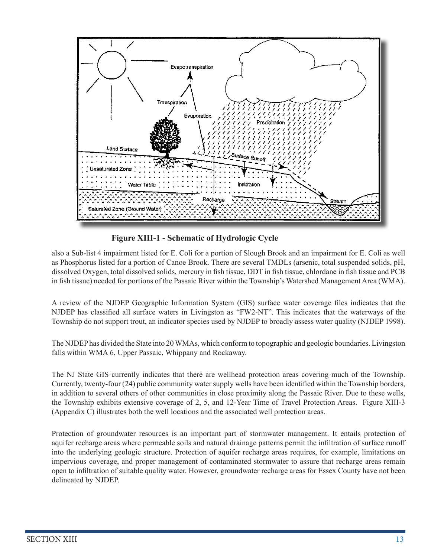

**Figure XIII-1 - Schematic of Hydrologic Cycle**

also a Sub-list 4 impairment listed for E. Coli for a portion of Slough Brook and an impairment for E. Coli as well as Phosphorus listed for a portion of Canoe Brook. There are several TMDLs (arsenic, total suspended solids, pH, dissolved Oxygen, total dissolved solids, mercury in fish tissue, DDT in fish tissue, chlordane in fish tissue and PCB in fish tissue) needed for portions of the Passaic River within the Township's Watershed Management Area (WMA).

A review of the NJDEP Geographic Information System (GIS) surface water coverage files indicates that the NJDEP has classified all surface waters in Livingston as "FW2-NT". This indicates that the waterways of the Township do not support trout, an indicator species used by NJDEP to broadly assess water quality (NJDEP 1998).

The NJDEP has divided the State into 20 WMAs, which conform to topographic and geologic boundaries. Livingston falls within WMA 6, Upper Passaic, Whippany and Rockaway.

The NJ State GIS currently indicates that there are wellhead protection areas covering much of the Township. Currently, twenty-four (24) public community water supply wells have been identified within the Township borders, in addition to several others of other communities in close proximity along the Passaic River. Due to these wells, the Township exhibits extensive coverage of 2, 5, and 12-Year Time of Travel Protection Areas. Figure XIII-3 (Appendix C) illustrates both the well locations and the associated well protection areas.

Protection of groundwater resources is an important part of stormwater management. It entails protection of aquifer recharge areas where permeable soils and natural drainage patterns permit the infiltration of surface runoff into the underlying geologic structure. Protection of aquifer recharge areas requires, for example, limitations on impervious coverage, and proper management of contaminated stormwater to assure that recharge areas remain open to infiltration of suitable quality water. However, groundwater recharge areas for Essex County have not been delineated by NJDEP.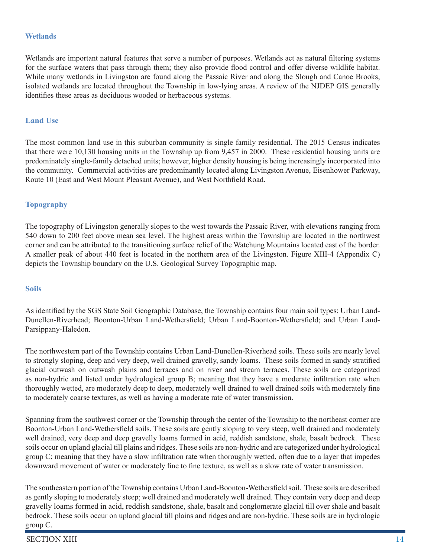#### **Wetlands**

Wetlands are important natural features that serve a number of purposes. Wetlands act as natural filtering systems for the surface waters that pass through them; they also provide flood control and offer diverse wildlife habitat. While many wetlands in Livingston are found along the Passaic River and along the Slough and Canoe Brooks, isolated wetlands are located throughout the Township in low-lying areas. A review of the NJDEP GIS generally identifies these areas as deciduous wooded or herbaceous systems.

#### **Land Use**

The most common land use in this suburban community is single family residential. The 2015 Census indicates that there were 10,130 housing units in the Township up from 9,457 in 2000. These residential housing units are predominately single-family detached units; however, higher density housing is being increasingly incorporated into the community. Commercial activities are predominantly located along Livingston Avenue, Eisenhower Parkway, Route 10 (East and West Mount Pleasant Avenue), and West Northfield Road.

#### **Topography**

The topography of Livingston generally slopes to the west towards the Passaic River, with elevations ranging from 540 down to 200 feet above mean sea level. The highest areas within the Township are located in the northwest corner and can be attributed to the transitioning surface relief of the Watchung Mountains located east of the border. A smaller peak of about 440 feet is located in the northern area of the Livingston. Figure XIII-4 (Appendix C) depicts the Township boundary on the U.S. Geological Survey Topographic map.

#### **Soils**

As identified by the SGS State Soil Geographic Database, the Township contains four main soil types: Urban Land-Dunellen-Riverhead; Boonton-Urban Land-Wethersfield; Urban Land-Boonton-Wethersfield; and Urban Land-Parsippany-Haledon.

The northwestern part of the Township contains Urban Land-Dunellen-Riverhead soils. These soils are nearly level to strongly sloping, deep and very deep, well drained gravelly, sandy loams. These soils formed in sandy stratified glacial outwash on outwash plains and terraces and on river and stream terraces. These soils are categorized as non-hydric and listed under hydrological group B; meaning that they have a moderate infiltration rate when thoroughly wetted, are moderately deep to deep, moderately well drained to well drained soils with moderately fine to moderately coarse textures, as well as having a moderate rate of water transmission.

Spanning from the southwest corner or the Township through the center of the Township to the northeast corner are Boonton-Urban Land-Wethersfield soils. These soils are gently sloping to very steep, well drained and moderately well drained, very deep and deep gravelly loams formed in acid, reddish sandstone, shale, basalt bedrock. These soils occur on upland glacial till plains and ridges. These soils are non-hydric and are categorized under hydrological group C; meaning that they have a slow infiltration rate when thoroughly wetted, often due to a layer that impedes downward movement of water or moderately fine to fine texture, as well as a slow rate of water transmission.

The southeastern portion of the Township contains Urban Land-Boonton-Wethersfield soil. These soils are described as gently sloping to moderately steep; well drained and moderately well drained. They contain very deep and deep gravelly loams formed in acid, reddish sandstone, shale, basalt and conglomerate glacial till over shale and basalt bedrock. These soils occur on upland glacial till plains and ridges and are non-hydric. These soils are in hydrologic group C.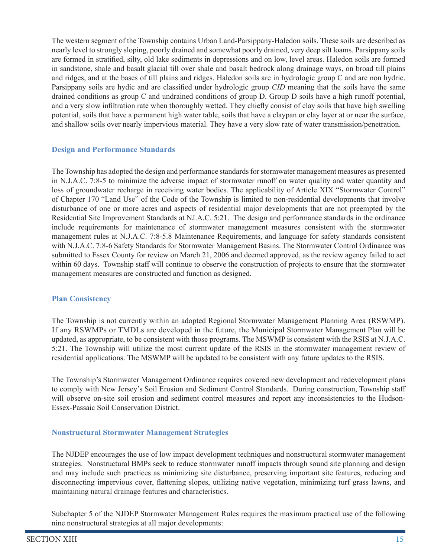The western segment of the Township contains Urban Land-Parsippany-Haledon soils. These soils are described as nearly level to strongly sloping, poorly drained and somewhat poorly drained, very deep silt loams. Parsippany soils are formed in stratified, silty, old lake sediments in depressions and on low, level areas. Haledon soils are formed in sandstone, shale and basalt glacial till over shale and basalt bedrock along drainage ways, on broad till plains and ridges, and at the bases of till plains and ridges. Haledon soils are in hydrologic group C and are non hydric. Parsippany soils are hydic and are classified under hydrologic group *CID* meaning that the soils have the same drained conditions as group C and undrained conditions of group D. Group D soils have a high runoff potential, and a very slow infiltration rate when thoroughly wetted. They chiefly consist of clay soils that have high swelling potential, soils that have a permanent high water table, soils that have a claypan or clay layer at or near the surface, and shallow soils over nearly impervious material. They have a very slow rate of water transmission/penetration.

#### **Design and Performance Standards**

The Township has adopted the design and performance standards for stormwater management measures as presented in N.J.A.C. 7:8-5 to minimize the adverse impact of stormwater runoff on water quality and water quantity and loss of groundwater recharge in receiving water bodies. The applicability of Article XIX "Stormwater Control" of Chapter 170 "Land Use" of the Code of the Township is limited to non-residential developments that involve disturbance of one or more acres and aspects of residential major developments that are not preempted by the Residential Site Improvement Standards at NJ.A.C. 5:21. The design and performance standards in the ordinance include requirements for maintenance of stormwater management measures consistent with the stormwater management rules at N.J.A.C. 7:8-5.8 Maintenance Requirements, and language for safety standards consistent with N.J.A.C. 7:8-6 Safety Standards for Stormwater Management Basins. The Stormwater Control Ordinance was submitted to Essex County for review on March 21, 2006 and deemed approved, as the review agency failed to act within 60 days. Township staff will continue to observe the construction of projects to ensure that the stormwater management measures are constructed and function as designed.

#### **Plan Consistency**

The Township is not currently within an adopted Regional Stormwater Management Planning Area (RSWMP). If any RSWMPs or TMDLs are developed in the future, the Municipal Stormwater Management Plan will be updated, as appropriate, to be consistent with those programs. The MSWMP is consistent with the RSIS at N.J.A.C. 5:21. The Township will utilize the most current update of the RSIS in the stormwater management review of residential applications. The MSWMP will be updated to be consistent with any future updates to the RSIS.

The Township's Stormwater Management Ordinance requires covered new development and redevelopment plans to comply with New Jersey's Soil Erosion and Sediment Control Standards. During construction, Township staff will observe on-site soil erosion and sediment control measures and report any inconsistencies to the Hudson-Essex-Passaic Soil Conservation District.

#### **Nonstructural Stormwater Management Strategies**

The NJDEP encourages the use of low impact development techniques and nonstructural stormwater management strategies. Nonstructural BMPs seek to reduce stormwater runoff impacts through sound site planning and design and may include such practices as minimizing site disturbance, preserving important site features, reducing and disconnecting impervious cover, flattening slopes, utilizing native vegetation, minimizing turf grass lawns, and maintaining natural drainage features and characteristics.

Subchapter 5 of the NJDEP Stormwater Management Rules requires the maximum practical use of the following nine nonstructural strategies at all major developments: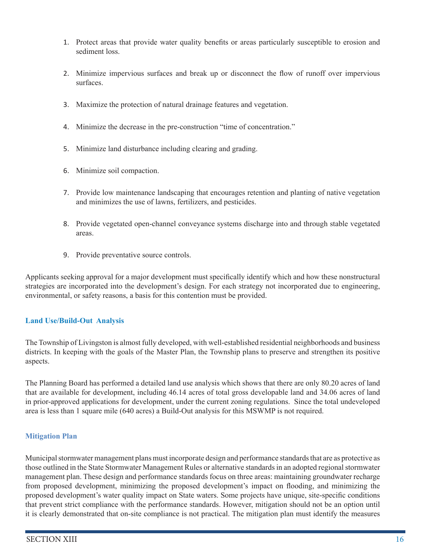- 1. Protect areas that provide water quality benefits or areas particularly susceptible to erosion and sediment loss.
- 2. Minimize impervious surfaces and break up or disconnect the flow of runoff over impervious surfaces.
- 3. Maximize the protection of natural drainage features and vegetation.
- 4. Minimize the decrease in the pre-construction "time of concentration."
- 5. Minimize land disturbance including clearing and grading.
- 6. Minimize soil compaction.
- 7. Provide low maintenance landscaping that encourages retention and planting of native vegetation and minimizes the use of lawns, fertilizers, and pesticides.
- 8. Provide vegetated open-channel conveyance systems discharge into and through stable vegetated areas.
- 9. Provide preventative source controls.

Applicants seeking approval for a major development must specifically identify which and how these nonstructural strategies are incorporated into the development's design. For each strategy not incorporated due to engineering, environmental, or safety reasons, a basis for this contention must be provided.

#### **Land Use/Build-Out Analysis**

The Township of Livingston is almost fully developed, with well-established residential neighborhoods and business districts. In keeping with the goals of the Master Plan, the Township plans to preserve and strengthen its positive aspects.

The Planning Board has performed a detailed land use analysis which shows that there are only 80.20 acres of land that are available for development, including 46.14 acres of total gross developable land and 34.06 acres of land in prior-approved applications for development, under the current zoning regulations. Since the total undeveloped area is less than 1 square mile (640 acres) a Build-Out analysis for this MSWMP is not required.

#### **Mitigation Plan**

Municipal stormwater management plans must incorporate design and performance standards that are as protective as those outlined in the State Stormwater Management Rules or alternative standards in an adopted regional stormwater management plan. These design and performance standards focus on three areas: maintaining groundwater recharge from proposed development, minimizing the proposed development's impact on flooding, and minimizing the proposed development's water quality impact on State waters. Some projects have unique, site-specific conditions that prevent strict compliance with the performance standards. However, mitigation should not be an option until it is clearly demonstrated that on-site compliance is not practical. The mitigation plan must identify the measures